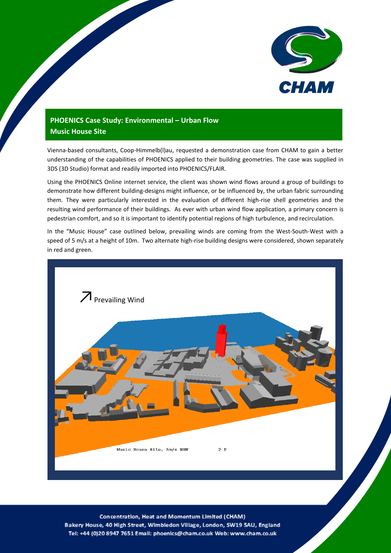

## **PHOENICS Case Study: Environmental – Urban Flow Music House Site**

Vienna-based consultants, Coop-Himmelb(l)au, requested a demonstration case from CHAM to gain a better understanding of the capabilities of PHOENICS applied to their building geometries. The case was supplied in 3DS (3D Studio) format and readily imported into PHOENICS/FLAIR.

Using the PHOENICS Online internet service, the client was shown wind flows around a group of buildings to demonstrate how different building-designs might influence, or be influenced by, the urban fabric surrounding them. They were particularly interested in the evaluation of different high-rise shell geometries and the resulting wind performance of their buildings. As ever with urban wind flow application, a primary concern is pedestrian comfort, and so it is important to identify potential regions of high turbulence, and recirculation.

In the "Music House" case outlined below, prevailing winds are coming from the West-South-West with a speed of 5 m/s at a height of 10m. Two alternate high-rise building designs were considered, shown separately in red and green.



**Concentration, Heat and Momentum Limited (CHAM)** Bakery House, 40 High Street, Wimbledon Village, London, SW19 5AU, England Tel: +44 (0)20 8947 7651 Email: phoenics@cham.co.uk Web: www.cham.co.uk